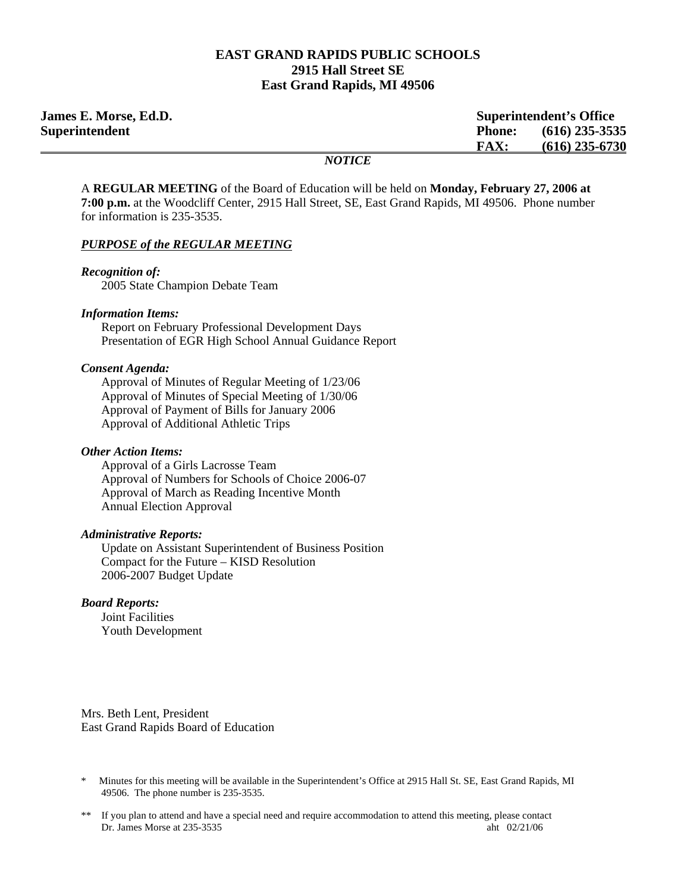#### **EAST GRAND RAPIDS PUBLIC SCHOOLS 2915 Hall Street SE East Grand Rapids, MI 49506**

| <b>James E. Morse, Ed.D.</b> | <b>Superintendent's Office</b>    |  |
|------------------------------|-----------------------------------|--|
| Superintendent               | $(616)$ 235-3535<br><b>Phone:</b> |  |
|                              | $(616)$ 235-6730<br><b>FAX:</b>   |  |
|                              | <i>NOTICE</i>                     |  |

A **REGULAR MEETING** of the Board of Education will be held on **Monday, February 27, 2006 at 7:00 p.m.** at the Woodcliff Center, 2915 Hall Street, SE, East Grand Rapids, MI 49506. Phone number for information is 235-3535.

#### *PURPOSE of the REGULAR MEETING*

#### *Recognition of:*

 $\equiv$ 

2005 State Champion Debate Team

#### *Information Items:*

 Report on February Professional Development Days Presentation of EGR High School Annual Guidance Report

#### *Consent Agenda:*

 Approval of Minutes of Regular Meeting of 1/23/06 Approval of Minutes of Special Meeting of 1/30/06 Approval of Payment of Bills for January 2006 Approval of Additional Athletic Trips

#### *Other Action Items:*

Approval of a Girls Lacrosse Team Approval of Numbers for Schools of Choice 2006-07 Approval of March as Reading Incentive Month Annual Election Approval

#### *Administrative Reports:*

Update on Assistant Superintendent of Business Position Compact for the Future – KISD Resolution 2006-2007 Budget Update

#### *Board Reports:*

**Joint Facilities** Youth Development

Mrs. Beth Lent, President East Grand Rapids Board of Education

Minutes for this meeting will be available in the Superintendent's Office at 2915 Hall St. SE, East Grand Rapids, MI 49506. The phone number is 235-3535.

<sup>\*\*</sup> If you plan to attend and have a special need and require accommodation to attend this meeting, please contact Dr. James Morse at 235-3535 aht 02/21/06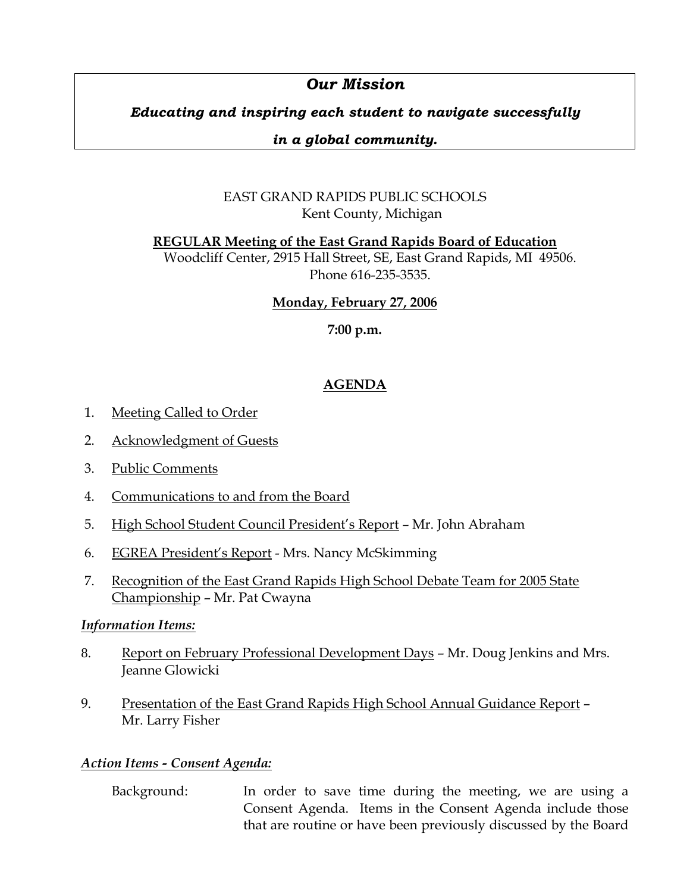# *Our Mission*

# *Educating and inspiring each student to navigate successfully*

### *in a global community.*

# EAST GRAND RAPIDS PUBLIC SCHOOLS Kent County, Michigan

**REGULAR Meeting of the East Grand Rapids Board of Education**

Woodcliff Center, 2915 Hall Street, SE, East Grand Rapids, MI 49506. Phone 616-235-3535.

### **Monday, February 27, 2006**

**7:00 p.m.**

# **AGENDA**

- 1. Meeting Called to Order
- 2. Acknowledgment of Guests
- 3. Public Comments
- 4. Communications to and from the Board
- 5. High School Student Council President's Report Mr. John Abraham
- 6. EGREA President's Report Mrs. Nancy McSkimming
- 7. Recognition of the East Grand Rapids High School Debate Team for 2005 State Championship – Mr. Pat Cwayna

### *Information Items:*

- 8. Report on February Professional Development Days Mr. Doug Jenkins and Mrs. Jeanne Glowicki
- 9. Presentation of the East Grand Rapids High School Annual Guidance Report Mr. Larry Fisher

### *Action Items - Consent Agenda:*

 Background: In order to save time during the meeting, we are using a Consent Agenda. Items in the Consent Agenda include those that are routine or have been previously discussed by the Board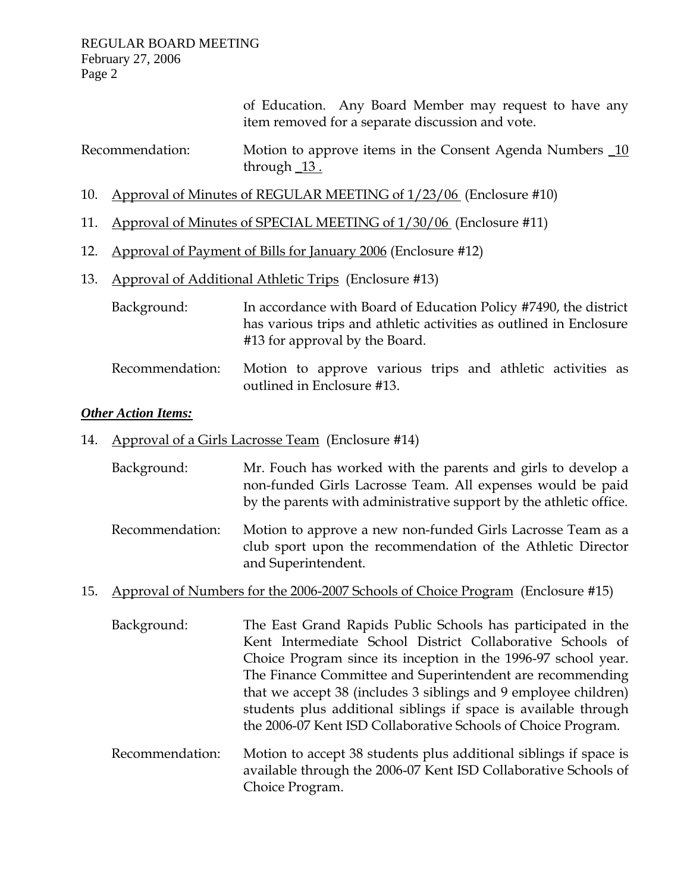of Education. Any Board Member may request to have any item removed for a separate discussion and vote.

| Recommendation: | Motion to approve items in the Consent Agenda Numbers 10 |
|-----------------|----------------------------------------------------------|
|                 | through $13.$                                            |

- 10. Approval of Minutes of REGULAR MEETING of 1/23/06 (Enclosure #10)
- 11. Approval of Minutes of SPECIAL MEETING of 1/30/06 (Enclosure #11)
- 12. Approval of Payment of Bills for January 2006 (Enclosure #12)
- 13. Approval of Additional Athletic Trips (Enclosure #13)
	- Background: In accordance with Board of Education Policy #7490, the district has various trips and athletic activities as outlined in Enclosure #13 for approval by the Board.
	- Recommendation: Motion to approve various trips and athletic activities as outlined in Enclosure #13.

#### *Other Action Items:*

- 14. Approval of a Girls Lacrosse Team (Enclosure #14)
	- Background: Mr. Fouch has worked with the parents and girls to develop a non-funded Girls Lacrosse Team. All expenses would be paid by the parents with administrative support by the athletic office.
	- Recommendation: Motion to approve a new non-funded Girls Lacrosse Team as a club sport upon the recommendation of the Athletic Director and Superintendent.
- 15. Approval of Numbers for the 2006-2007 Schools of Choice Program (Enclosure #15)
	- Background: The East Grand Rapids Public Schools has participated in the Kent Intermediate School District Collaborative Schools of Choice Program since its inception in the 1996-97 school year. The Finance Committee and Superintendent are recommending that we accept 38 (includes 3 siblings and 9 employee children) students plus additional siblings if space is available through the 2006-07 Kent ISD Collaborative Schools of Choice Program.
	- Recommendation: Motion to accept 38 students plus additional siblings if space is available through the 2006-07 Kent ISD Collaborative Schools of Choice Program.